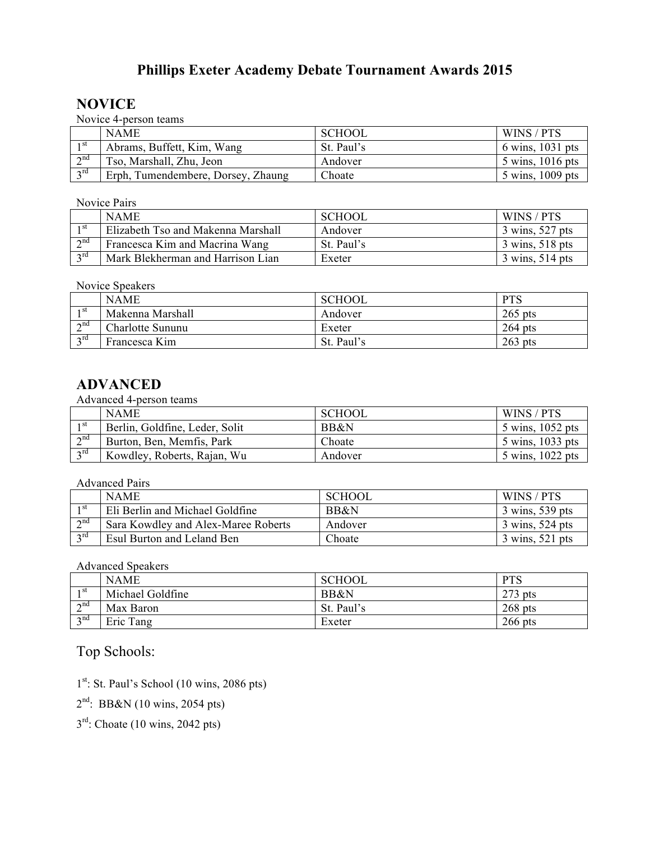## **Phillips Exeter Academy Debate Tournament Awards 2015**

## **NOVICE**

Novice 4-person teams

|                   | <b>NAME</b>                        | <b>SCHOOL</b> | WINS / PTS       |
|-------------------|------------------------------------|---------------|------------------|
| 1 st              | Abrams, Buffett, Kim, Wang         | St. Paul's    | 6 wins, 1031 pts |
| $\lambda$ nd<br>∠ | Tso, Marshall, Zhu, Jeon           | Andover       | 5 wins, 1016 pts |
| $\gamma$ rd       | Erph, Tumendembere, Dorsey, Zhaung | Choate        | 5 wins, 1009 pts |

Novice Pairs

|                 | <b>NAME</b>                        | <b>SCHOOL</b> | WINS / PTS                        |
|-----------------|------------------------------------|---------------|-----------------------------------|
| 1 <sup>st</sup> | Elizabeth Tso and Makenna Marshall | Andover       | 3 wins, 527 pts                   |
| $\gamma$ nd     | Francesca Kim and Macrina Wang     | St. Paul's    | $3 \text{ wins}, 518 \text{ pts}$ |
| $2$ rd          | Mark Blekherman and Harrison Lian  | Exeter        | 3 wins, 514 pts                   |

Novice Speakers

|                   | <b>NAME</b>      | <b>SCHOOL</b> | <b>PTS</b> |
|-------------------|------------------|---------------|------------|
| 1 <sup>st</sup>   | Makenna Marshall | Andover       | $265$ pts  |
| $\lambda$ nd<br>∸ | Charlotte Sununu | Exeter        | $264$ pts  |
| $\gamma$ rd       | Francesca Kim    | St. Paul's    | $263$ pts  |

## **ADVANCED**

Advanced 4-person teams

|                  | <b>NAME</b>                    | <b>SCHOOL</b> | WINS / PTS       |
|------------------|--------------------------------|---------------|------------------|
| 1 St             | Berlin, Goldfine, Leder, Solit | BB&N          | 5 wins, 1052 pts |
| $\gamma$ nd<br>∠ | Burton, Ben, Memfis, Park      | Choate        | 5 wins, 1033 pts |
| $2^{\text{rd}}$  | Kowdley, Roberts, Rajan, Wu    | Andover       | 5 wins, 1022 pts |

Advanced Pairs

|                   | <b>NAME</b>                         | <b>SCHOOL</b> | WINS / PTS                        |
|-------------------|-------------------------------------|---------------|-----------------------------------|
| 1 st              | Eli Berlin and Michael Goldfine     | BB&N          | 3 wins, 539 pts                   |
| $\lambda$ nd<br>∠ | Sara Kowdley and Alex-Maree Roberts | Andover       | $3 \text{ wins}, 524 \text{ pts}$ |
| $\gamma$ rd       | Esul Burton and Leland Ben          | Choate        | $3 \text{ wins}, 521 \text{ pts}$ |

Advanced Speakers

|                 | <b>NAME</b>      | <b>SCHOOL</b>   | <b>PTS</b> |
|-----------------|------------------|-----------------|------------|
| 1 <sup>st</sup> | Michael Goldfine | <b>BB&amp;N</b> | $273$ pts  |
| $\lambda$ nd    | Max Baron        | St. Paul's      | $268$ pts  |
| $\gamma$ nd     | Eric Tang        | Exeter          | $266$ pts  |

Top Schools:

1<sup>st</sup>: St. Paul's School (10 wins, 2086 pts)

 $2<sup>nd</sup>$ : BB&N (10 wins, 2054 pts)

 $3<sup>rd</sup>$ : Choate (10 wins, 2042 pts)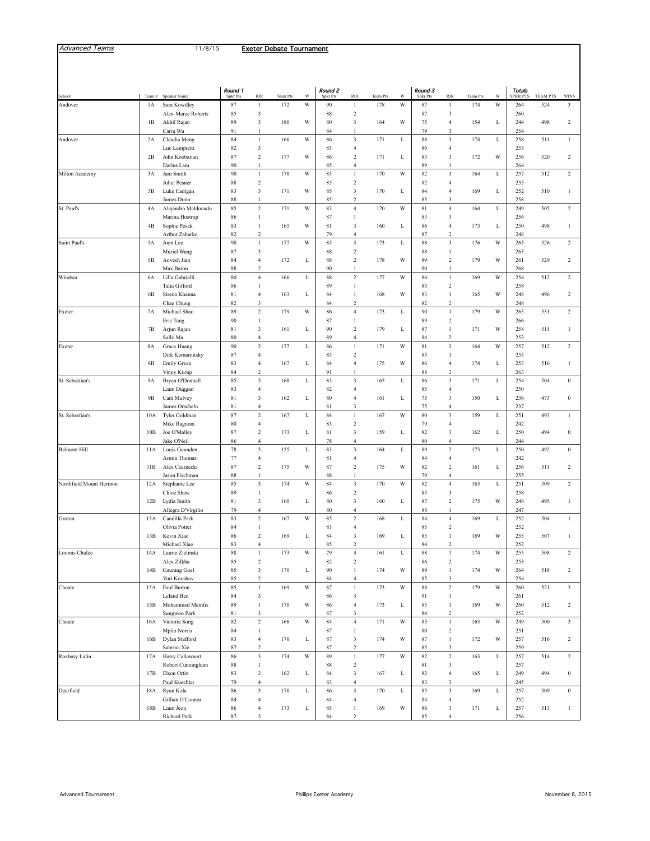| <b>Advanced Tournament</b> | Phillips Exeter Academy | November 8, 2015<br>. |
|----------------------------|-------------------------|-----------------------|
|                            |                         |                       |

| School                  | Team#         | Speaker Name                     | Round 1<br><b>Spkr Pts</b> | <b>RIR</b>                            | Team Pts | w | Round 2<br><b>Spkr Pts</b> | RIR                                       | Team Pts | W | Round 3<br><b>Spkr Pts</b> | <b>RIR</b>                                | Team Pts | W           | Totals<br><b>SPKR PTS</b> | <b>TEAM PTS</b> | <b>WINS</b>             |
|-------------------------|---------------|----------------------------------|----------------------------|---------------------------------------|----------|---|----------------------------|-------------------------------------------|----------|---|----------------------------|-------------------------------------------|----------|-------------|---------------------------|-----------------|-------------------------|
| Andover                 | 1A            | Sara Kowdley                     | 87                         | $\mathbf{1}$                          | 172      | W | 90                         | $\mathbf{1}$                              | 178      | W | 87                         | $\mathbf{1}$                              | 174      | W           | 264                       | 524             | 3                       |
|                         |               | Alex-Maree Roberts               | 85                         | 3                                     |          |   | 88                         | $\sqrt{2}$                                |          |   | 87                         | $\sqrt{3}$                                |          |             | 260                       |                 |                         |
|                         | 1B            | Akhil Rajan                      | 89<br>91                   | 3<br>$\mathbf{1}$                     | 180      | W | 80                         | $\overline{\mathbf{3}}$                   | 164      | W | 75<br>79                   | $\overline{4}$<br>$\sqrt{3}$              | 154      | L           | 244                       | 498             | $\overline{c}$          |
| Andover                 | 2A            | Carra Wu<br>Claudia Meng         | 84                         | $\mathbf{1}$                          | 166      | W | 84<br>86                   | 1<br>$\mathfrak z$                        | 171      | L | 88                         | $\sqrt{3}$                                | 174      | L           | 254<br>258                | 511             | $\mathbf{1}$            |
|                         |               | Luc Lampietti                    | 82                         | $\ensuremath{\mathfrak{Z}}$           |          |   | 85                         | $\overline{4}$                            |          |   | 86                         | 4                                         |          |             | 253                       |                 |                         |
|                         | 2B            | John Koobatian                   | 87                         | $\,2$                                 | 177      | W | 86                         | $\sqrt{2}$                                | 171      | L | 83                         | $\sqrt{3}$                                | 172      | W           | 256                       | 520             | $\sqrt{2}$              |
|                         |               | Darius Lam                       | 90                         | $\mathbf{1}$                          |          |   | 85                         | $\overline{4}$                            |          |   | 89                         | 1                                         |          |             | 264                       |                 |                         |
| Milton Academy          | 3A            | Jam Smith<br>Juliet Pesner       | 90<br>88                   | $\,1$<br>$\,2$                        | 178      | W | 85<br>85                   | $\,1\,$<br>$\overline{2}$                 | 170      | W | 82<br>82                   | $\mathfrak z$<br>$\overline{4}$           | 164      | L           | 257<br>255                | 512             | $\,2$                   |
|                         | 3B            | Luke Cadigan                     | 83                         | 3                                     | 171      | W | 85                         | $\sqrt{3}$                                | 170      | L | 84                         | $\overline{4}$                            | 169      | L           | 252                       | 510             | $\mathbf{1}$            |
|                         |               | James Dunn                       | 88                         | $\mathbf{1}$                          |          |   | 85                         | $\overline{2}$                            |          |   | 85                         | $\sqrt{3}$                                |          |             | 258                       |                 |                         |
| St. Paul's              | 4A            | Alejandro Maldonado              | 85                         | $\overline{c}$                        | 171      | W | 83                         | $\overline{4}$                            | 170      | W | 81                         | $\overline{4}$                            | 164      | L           | 249                       | 505             | $\overline{c}$          |
|                         |               | Marina Hostrop                   | 86                         | $\mathbf{1}$                          |          |   | 87                         | $\mathbf{1}$                              |          |   | 83                         | 3                                         |          |             | 256                       |                 |                         |
|                         | 4B            | Sophie Pesek<br>Arthur Zaharko   | 83<br>82                   | $\mathbf{1}$<br>$\overline{c}$        | 165      | W | 81<br>79                   | $\overline{\mathbf{3}}$<br>$\overline{4}$ | 160      | L | 86<br>87                   | $\overline{4}$<br>$\,2\,$                 | 173      | L           | 250<br>248                | 498             | $\mathbf{1}$            |
| Saint Paul's            | 5A            | Joon Lee                         | 90                         | $\mathbf{1}$                          | 177      | W | 85                         | $\mathfrak z$                             | 173      | L | 88                         | $\sqrt{3}$                                | 176      | W           | 263                       | 526             | $\,2$                   |
|                         |               | Muriel Wang                      | 87                         | 3                                     |          |   | 88                         | $\sqrt{2}$                                |          |   | 88                         | $\mathbf{1}$                              |          |             | 263                       |                 |                         |
|                         | 5B            | Anvesh Jain                      | 84                         | $\overline{4}$                        | 172      | L | 88                         | $\sqrt{2}$                                | 178      | W | 89                         | $\,2$                                     | 179      | W           | 261                       | 529             | $\sqrt{2}$              |
|                         |               | Max Baron                        | 88                         | $\overline{c}$                        |          |   | 90                         | $\mathbf{1}$                              |          |   | 90                         | 1                                         |          |             | 268                       |                 |                         |
| Windsor                 | 6A            | Lilla Gabrielli<br>Talia Gifford | $80\,$<br>86               | $\sqrt{4}$<br>1                       | 166      | L | 88<br>89                   | $\,2\,$<br>$\mathbf{1}$                   | 177      | W | 86<br>83                   | $\,1$<br>$\,2$                            | 169      | W           | 254<br>258                | 512             | $\,2$                   |
|                         | 6B            | Sirena Khanna                    | 81                         | $\overline{4}$                        | 163      | L | 84                         | $\mathbf{1}$                              | 168      | W | 83                         | $\mathbf{1}$                              | 165      | W           | 248                       | 496             | $\sqrt{2}$              |
|                         |               | Chae Chung                       | 82                         | 3                                     |          |   | 84                         | $\overline{2}$                            |          |   | 82                         | $\overline{c}$                            |          |             | 248                       |                 |                         |
| Exeter                  | 7A            | Michael Shao                     | 89                         | $\overline{c}$                        | 179      | W | 86                         | $\overline{4}$                            | 173      | L | 90                         | $\,1$                                     | 179      | W           | 265                       | 531             | $\overline{c}$          |
|                         |               | Eric Tang                        | $90\,$                     | $\mathbf{1}$                          |          |   | 87                         | $\mathbf{1}$                              |          |   | 89                         | $\,2$                                     |          |             | 266                       |                 |                         |
|                         | 7В            | Arjun Rajan<br>Sally Ma          | 81<br>80                   | 3<br>$\overline{4}$                   | 161      | L | 90<br>89                   | $\sqrt{2}$<br>$\overline{4}$              | 179      | L | 87<br>84                   | $\,1$<br>$\,2\,$                          | 171      | W           | 258<br>253                | 511             | $\mathbf{1}$            |
| Exeter                  | 8A            | Grace Huang                      | 90                         | $\,2$                                 | 177      | L | 86                         | $\,1\,$                                   | 171      | W | 81                         | $\mathfrak z$                             | 164      | W           | 257                       | 512             | $\sqrt{2}$              |
|                         |               | Dirk Komarnitsky                 | 87                         | $\overline{4}$                        |          |   | 85                         | $\overline{c}$                            |          |   | 83                         | $\mathbf{1}$                              |          |             | 255                       |                 |                         |
|                         | $8\mathrm{B}$ | <b>Emily Green</b>               | 83                         | $\overline{4}$                        | 167      | L | 84                         | $\overline{4}$                            | 175      | W | 86                         | $\overline{4}$                            | 174      | L           | 253                       | 516             | $\mathbf{1}$            |
|                         |               | Vinny Kurup                      | 84                         | $\overline{c}$                        |          |   | 91                         | $\mathbf{1}$                              |          |   | 88                         | $\,2\,$                                   |          |             | 263                       |                 |                         |
| St. Sebastian's         | 9A            | Bryan O'Donnell<br>Liam Duggan   | 85<br>83                   | 3<br>$\overline{4}$                   | 168      | L | 83<br>82                   | $\overline{\mathbf{3}}$<br>$\overline{4}$ | 165      | L | 86<br>85                   | $\sqrt{3}$<br>4                           | 171      | L           | 254<br>250                | 504             | $\boldsymbol{0}$        |
|                         | 9B            | Cam Mulvey                       | 81                         | 3                                     | 162      | L | 80                         | $\overline{4}$                            | 161      | L | 75                         | 3                                         | 150      | L           | 236                       | 473             | $\boldsymbol{0}$        |
|                         |               | James Orscheln                   | 81                         | $\overline{4}$                        |          |   | 81                         | $\overline{\mathbf{3}}$                   |          |   | 75                         | $\overline{4}$                            |          |             | 237                       |                 |                         |
| St. Sebastian's         | 10A           | Tyler Goldman                    | 87                         | $\overline{c}$                        | 167      | L | 84                         | $\mathbf{1}$                              | 167      | W | 80                         | $\overline{\mathbf{3}}$                   | 159      | L           | 251                       | 493             | $\mathbf{1}$            |
|                         |               | Mike Ragnoni                     | 80                         | $\overline{4}$                        |          |   | 83                         | $\sqrt{2}$                                |          |   | 79                         | $\overline{4}$                            |          |             | 242                       |                 |                         |
|                         | 10B           | Joe O'Malley<br>Jake O'Neil      | 87<br>86                   | $\,2$<br>$\overline{4}$               | 173      | L | 81<br>78                   | $\mathfrak z$<br>$\overline{4}$           | 159      | L | 82<br>80                   | $\sqrt{3}$<br>$\overline{4}$              | 162      | L           | 250<br>244                | 494             | $\boldsymbol{0}$        |
| <b>Belmont Hill</b>     | 11A           | Louis Gounden                    | $78\,$                     | $\mathfrak z$                         | 155      | L | 83                         | $\overline{\mathbf{3}}$                   | 164      | L | 89                         | $\overline{c}$                            | 173      | L           | 250                       | 492             | $\boldsymbol{0}$        |
|                         |               | Armin Thomas                     | 77                         | $\overline{4}$                        |          |   | 81                         | $\overline{4}$                            |          |   | 84                         | $\overline{4}$                            |          |             | 242                       |                 |                         |
|                         | 11B           | Alex Czarnecki                   | 87                         | $\,2$                                 | 175      | W | 87                         | $\sqrt{2}$                                | 175      | W | 82                         | $\,2$                                     | 161      | L           | 256                       | 511             | $\sqrt{2}$              |
| Northfield Mount Hermon |               | Jason Fischman                   | 88                         | $\mathbf{1}$<br>3                     | 174      | W | 88<br>84                   | $\mathbf{1}$<br>$\sqrt{3}$                | 170      | W | 79                         | $\overline{4}$<br>$\overline{4}$          |          |             | 255                       |                 | $\,2$                   |
|                         | 12A           | Stephanie Lee<br>Chloe Shaw      | 85<br>89                   | $\mathbf{1}$                          |          |   | 86                         | $\sqrt{2}$                                |          |   | 82<br>83                   | 3                                         | 165      | L           | 251<br>258                | 509             |                         |
|                         | 12B           | Lydia Smith                      | 81                         | 3                                     | 160      | L | 80                         | $\overline{\mathbf{3}}$                   | 160      | L | 87                         | $\,2$                                     | 175      | W           | 248                       | 495             | $\mathbf{1}$            |
|                         |               | Allegra D'Virgilio               | 79                         | $\overline{4}$                        |          |   | 80                         | $\overline{4}$                            |          |   | 88                         | $\mathbf{1}$                              |          |             | 247                       |                 |                         |
| Groton                  | 13A           | Candilla Park                    | 83                         | $\,2$                                 | 167      | W | 85                         | $\sqrt{2}$                                | 168      | L | 84                         | $\overline{4}$                            | 169      | L           | 252                       | 504             | $\mathbf{1}$            |
|                         | 13B           | Olivia Potter                    | 84<br>86                   | $\mathbf{1}$<br>$\overline{c}$        | 169      |   | 83<br>84                   | $\overline{4}$<br>$\overline{\mathbf{3}}$ | 169      | L | 85<br>85                   | $\,2$<br>$\mathbf{1}$                     | 169      | W           | 252<br>255                | 507             | 1                       |
|                         |               | Kevin Xiao<br>Michael Xiao       | 83                         | $\overline{4}$                        |          | L | 85                         | $\overline{\mathbf{c}}$                   |          |   | 84                         | $\,2$                                     |          |             | 252                       |                 |                         |
| Loomis Chafee           | 14A           | Laurie Zielinski                 | $88\,$                     | $\,1$                                 | 173      | W | 79                         | $\overline{4}$                            | 161      | L | 88                         | $\,1\,$                                   | 174      | W           | 255                       | 508             | $\,2$                   |
|                         |               | Alex Zilkha                      | 85                         | $\,2$                                 |          |   | 82                         | $\sqrt{2}$                                |          |   | 86                         | $\,2$                                     |          |             | 253                       |                 |                         |
|                         | 14B           | Gaurang Goel                     | 85                         | $\sqrt{3}$                            | 170      | L | 90                         | $\,1\,$                                   | 174      | W | 89                         | $\,1$                                     | 174      | W           | 264                       | 518             | $\sqrt{2}$              |
|                         | 15A           | Yuri Kovshov<br>Esul Burton      | 85<br>85                   | $\,2$<br>$\mathbf{1}$                 | 169      | W | 84                         | $\overline{4}$<br>$\,1\,$                 | 173      | W | 85<br>88                   | $\mathfrak z$<br>$\overline{c}$           | 179      | W           | 254                       |                 | $\overline{\mathbf{3}}$ |
| Choate                  |               | Leland Ben                       | 84                         | $\mathfrak{Z}$                        |          |   | 87<br>86                   | $\overline{\mathbf{3}}$                   |          |   | 91                         | $\,1$                                     |          |             | 260<br>261                | 521             |                         |
|                         | 15B           | Mohammed Memfis                  | 89                         | $\mathbf{1}$                          | 170      | W | 86                         | $\overline{4}$                            | 173      | L | 85                         | $\,1$                                     | 169      | W           | 260                       | 512             | $\overline{c}$          |
|                         |               | Sungwoo Park                     | 81                         | $\mathfrak{Z}$                        |          |   | 87                         | $\overline{\mathbf{3}}$                   |          |   | 84                         | $\,2\,$                                   |          |             | 252                       |                 |                         |
| Choate                  | 16A           | Victoria Song                    | 82                         | $\mathbf 2$                           | 166      | W | 84                         | $\sqrt{4}$                                | 171      | W | 83                         | $\,1\,$                                   | 163      | W           | 249                       | 500             | $\mathbf{3}$            |
|                         |               | Mpilo Norris                     | 84                         | $\mathbf{1}$                          |          |   | 87                         | $\mathbf{1}$                              |          | W | 80                         | $\,2$                                     |          |             | 251                       |                 |                         |
|                         | 16B           | Dylan Stafford<br>Sabrina Xie    | 83<br>87                   | $\sqrt{4}$<br>$\overline{c}$          | 170      | L | 87<br>87                   | $\sqrt{3}$<br>$\overline{c}$              | 174      |   | 87<br>85                   | $\,1$<br>3                                | 172      | W           | 257<br>259                | 516             | $\sqrt{2}$              |
| Roxbury Latin           | 17A           | Harry Callewaert                 | 86                         | $\sqrt{3}$                            | 174      | W | 89                         | $\,1\,$                                   | 177      | W | 82                         | $\sqrt{2}$                                | 163      | $\mathbf L$ | 257                       | 514             | $\overline{c}$          |
|                         |               | Robert Cunningham                | $\bf 88$                   | $\,1$                                 |          |   | 88                         | $\sqrt{2}$                                |          |   | $81\,$                     | $\sqrt{3}$                                |          |             | 257                       |                 |                         |
|                         | 17B           | Elson Ortiz                      | 83                         | $\,2$                                 | 162      | L | 84                         | $\mathbf{3}$                              | 167      | L | 82                         | $\overline{4}$                            | 165      | L           | 249                       | 494             | $\boldsymbol{0}$        |
|                         |               | Paul Kuechler                    | 79                         | $\sqrt{4}$                            |          |   | 83                         | $\sqrt{4}$                                |          |   | 83                         | $\mathfrak z$                             |          |             | 245                       |                 |                         |
| Deerfield               | 18A           | Ryan Kola<br>Gillian O'Connor    | 86<br>84                   | $\overline{\mathbf{3}}$<br>$\sqrt{4}$ | 170      | L | 86<br>84                   | $\mathfrak z$<br>$\overline{4}$           | 170      | L | 85<br>84                   | $\overline{\mathbf{3}}$<br>$\overline{4}$ | 169      | L           | 257<br>252                | 509             | $\mathbf{0}$            |
|                         | 18B           | Liam Jeon                        | 86                         | $\overline{4}$                        | 173      | L | 85                         | $\,1\,$                                   | 169      | W | 86                         | $\sqrt{3}$                                | 171      | L           | 257                       | 513             | $\mathbf{1}$            |
|                         |               | Richard Park                     | 87                         | 3                                     |          |   | 84                         | $\sqrt{2}$                                |          |   | 85                         | $\overline{4}$                            |          |             | 256                       |                 |                         |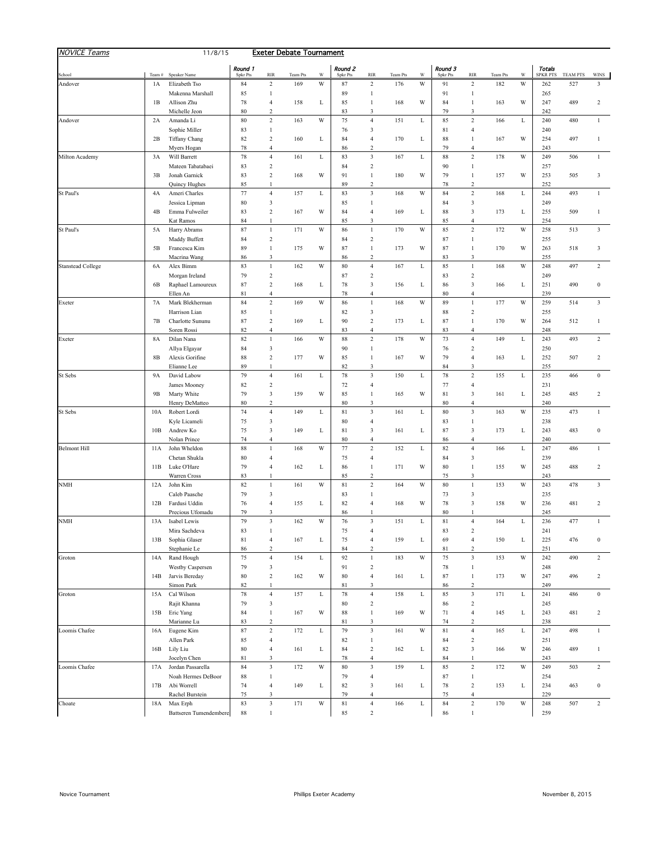| <b>NOVICE Teams</b>      |             | 11/8/15                             |                |                                | <b>Exeter Debate Tournament</b> |   |                |                                           |                 |             |                |                                         |                 |   |                           |                 |                         |
|--------------------------|-------------|-------------------------------------|----------------|--------------------------------|---------------------------------|---|----------------|-------------------------------------------|-----------------|-------------|----------------|-----------------------------------------|-----------------|---|---------------------------|-----------------|-------------------------|
|                          |             |                                     | Round 1        |                                |                                 | W | Round 2        |                                           |                 | W           | Round 3        |                                         |                 | W | Totals<br><b>SPKR PTS</b> | <b>TEAM PTS</b> |                         |
| School<br>Andover        | Team#<br>1A | Speaker Name<br>Elizabeth Tso       | Spkr Pts<br>84 | <b>RIR</b><br>$\,2$            | Team Pts<br>169                 | W | Spkr Pts<br>87 | <b>RIR</b><br>$\overline{2}$              | Team Pts<br>176 | W           | Spkr Pts<br>91 | <b>RIR</b><br>$\,2$                     | Team Pts<br>182 | W | 262                       | 527             | <b>WINS</b><br>3        |
|                          |             | Makenna Marshall                    | 85             | 1                              |                                 |   | 89             | $\mathbf{1}$                              |                 |             | 91             | 1                                       |                 |   | 265                       |                 |                         |
|                          | 1B          | Allison Zhu                         | 78             | $\overline{4}$                 | 158                             | L | 85             | 1                                         | 168             | W           | 84             | $\mathbf{1}$                            | 163             | W | 247                       | 489             | 2                       |
|                          |             | Michelle Jeon                       | 80             | $\overline{2}$                 |                                 |   | 83             | 3                                         |                 |             | 79             | 3                                       |                 |   | 242                       |                 |                         |
| Andover                  | 2A          | Amanda Li                           | 80             | $\,2$                          | 163                             | W | 75             | $\overline{4}$                            | 151             | L           | 85             | $\,2\,$                                 | 166             | L | 240                       | 480             | $\mathbf{1}$            |
|                          |             | Sophie Miller                       | 83             | 1                              |                                 |   | 76             | 3                                         |                 |             | 81             | $\overline{4}$                          |                 |   | 240                       |                 |                         |
|                          | 2B          | Tiffany Chang                       | 82             | $\overline{2}$                 | 160                             | L | 84             | $\overline{4}$                            | 170             | L           | 88             | $\mathbf{1}$                            | 167             | W | 254                       | 497             | 1                       |
|                          |             | Myers Hogan                         | 78             | $\overline{4}$                 |                                 |   | 86             | $\overline{c}$                            |                 |             | 79             | $\overline{4}$                          |                 |   | 243                       |                 |                         |
| Milton Academy           | 3A          | Will Barrett                        | 78             | $\overline{4}$                 | 161                             | L | 83             | $\mathfrak z$                             | 167             | L           | 88             | $\,2\,$                                 | 178             | W | 249                       | 506             | 1                       |
|                          | 3B          | Mateen Tabatabaei<br>Jonah Garnick  | 83<br>83       | 2<br>$\,2$                     | 168                             | W | 84<br>91       | $\overline{c}$<br>1                       | 180             | W           | 90<br>79       | $\mathbf{1}$<br>$\,1$                   | 157             | W | 257<br>253                | 505             | 3                       |
|                          |             | Quincy Hughes                       | 85             | 1                              |                                 |   | 89             | $\overline{c}$                            |                 |             | 78             | $\overline{c}$                          |                 |   | 252                       |                 |                         |
| St Paul's                | 4A          | Ameri Charles                       | 77             | $\overline{4}$                 | 157                             | L | 83             | $\overline{\mathbf{3}}$                   | 168             | W           | 84             | $\sqrt{2}$                              | 168             | L | 244                       | 493             | $\mathbf{1}$            |
|                          |             | Jessica Lipman                      | 80             | 3                              |                                 |   | 85             | $\mathbf{1}$                              |                 |             | 84             | $\mathfrak z$                           |                 |   | 249                       |                 |                         |
|                          | 4B          | Emma Fulweiler                      | 83             | $\,2$                          | 167                             | W | 84             | 4                                         | 169             | L           | 88             | 3                                       | 173             | L | 255                       | 509             | 1                       |
|                          |             | Kat Ramos                           | 84             | 1                              |                                 |   | 85             | $\mathfrak{Z}$                            |                 |             | 85             | $\overline{4}$                          |                 |   | 254                       |                 |                         |
| St Paul's                | 5A          | Harry Abrams                        | 87             | $\mathbf{1}$                   | 171                             | W | 86             | $\mathbf{1}$                              | 170             | W           | 85             | $\,2\,$                                 | 172             | W | 258                       | 513             | 3                       |
|                          |             | Maddy Buffett                       | 84             | $\,2$                          |                                 |   | 84             | $\overline{c}$                            |                 |             | 87             | $\mathbf{1}$                            |                 |   | 255                       |                 |                         |
|                          | 5B          | Francesca Kim                       | 89             | $\mathbf{1}$                   | 175                             | W | 87             | $\mathbf{1}$                              | 173             | W           | 87             | $\mathbf{1}$                            | 170             | W | 263                       | 518             | 3                       |
|                          |             | Macrina Wang                        | 86             | 3                              |                                 |   | 86             | $\overline{c}$                            |                 |             | 83             | $\mathfrak z$<br>$\mathbf{1}$           |                 |   | 255                       |                 |                         |
| <b>Stanstead College</b> | 6A          | Alex Bimm                           | 83<br>79       | $\mathbf{1}$<br>$\,2$          | 162                             | W | 80<br>87       | $\overline{4}$<br>$\overline{c}$          | 167             | L           | 85<br>83       | $\,2$                                   | 168             | W | 248<br>249                | 497             | $\overline{c}$          |
|                          | 6B          | Morgan Ireland<br>Raphael Lamoureux | 87             | $\overline{c}$                 | 168                             | L | 78             | $\mathfrak{Z}$                            | 156             | L           | 86             | $\sqrt{3}$                              | 166             | L | 251                       | 490             | $\mathbf{0}$            |
|                          |             | Ellen An                            | 81             | $\overline{4}$                 |                                 |   | 78             | 4                                         |                 |             | 80             | $\overline{4}$                          |                 |   | 239                       |                 |                         |
| Exeter                   | 7A          | Mark Blekherman                     | 84             | $\,2$                          | 169                             | W | 86             | $\mathbf{1}$                              | 168             | W           | 89             | $\mathbf{1}$                            | 177             | W | 259                       | 514             | $\overline{\mathbf{3}}$ |
|                          |             | Harrison Lian                       | 85             | 1                              |                                 |   | 82             | $\mathfrak{Z}$                            |                 |             | 88             | $\,2$                                   |                 |   | 255                       |                 |                         |
|                          | 7В          | Charlotte Sununu                    | 87             | $\overline{c}$                 | 169                             | L | 90             | $\overline{c}$                            | 173             | L           | 87             | $\mathbf{1}$                            | 170             | W | 264                       | 512             | 1                       |
|                          |             | Soren Rossi                         | 82             | $\overline{4}$                 |                                 |   | 83             | $\overline{4}$                            |                 |             | 83             | $\overline{4}$                          |                 |   | 248                       |                 |                         |
| Exeter                   | 8A          | Dilan Nana                          | 82             | 1                              | 166                             | W | 88             | $\,2\,$                                   | 178             | W           | 73             | $\overline{4}$                          | 149             | L | 243                       | 493             | $\boldsymbol{2}$        |
|                          |             | Allya Elgayar                       | 84             | 3                              |                                 |   | 90             | $\mathbf{1}$                              |                 |             | 76             | $\,2$                                   |                 |   | 250                       |                 |                         |
|                          | 8B          | Alexis Gorifine                     | 88             | $\sqrt{2}$                     | 177                             | W | 85             | $\mathbf{1}$                              | 167             | W           | 79             | $\overline{4}$                          | 163             | L | 252                       | 507             | 2                       |
|                          |             | Elianne Lee                         | 89<br>79       | 1<br>$\overline{4}$            | 161                             |   | 82<br>78       | $\mathfrak{Z}$<br>$\overline{\mathbf{3}}$ | 150             | L           | 84<br>78       | 3<br>$\,2$                              | 155             | L | 255<br>235                |                 | $\bf{0}$                |
| St Sebs                  | 9A          | David Labow<br>James Mooney         | 82             | $\overline{\mathbf{c}}$        |                                 | L | 72             | 4                                         |                 |             | 77             | $\overline{4}$                          |                 |   | 231                       | 466             |                         |
|                          | 9B          | Marty White                         | 79             | 3                              | 159                             | W | 85             | $\mathbf{1}$                              | 165             | W           | 81             | $\mathfrak z$                           | 161             | L | 245                       | 485             | $\overline{c}$          |
|                          |             | Henry DeMatteo                      | 80             | $\overline{c}$                 |                                 |   | 80             | 3                                         |                 |             | 80             | $\overline{4}$                          |                 |   | 240                       |                 |                         |
| St Sebs                  | 10A         | Robert Lordi                        | 74             | $\overline{4}$                 | 149                             | L | 81             | $\overline{\mathbf{3}}$                   | 161             | L           | 80             | $\ensuremath{\mathbf{3}}$               | 163             | W | 235                       | 473             | 1                       |
|                          |             | Kyle Licameli                       | 75             | 3                              |                                 |   | 80             | 4                                         |                 |             | 83             | $\mathbf{1}$                            |                 |   | 238                       |                 |                         |
|                          | 10B         | Andrew Ko                           | 75             | 3                              | 149                             | L | 81             | 3                                         | 161             | L           | 87             | $\mathfrak z$                           | 173             | L | 243                       | 483             | $\bf{0}$                |
|                          |             | Nolan Prince                        | 74             | $\overline{4}$                 |                                 |   | $80\,$         | $\overline{4}$                            |                 |             | 86             | $\overline{4}$                          |                 |   | 240                       |                 |                         |
| <b>Belmont Hill</b>      | 11A         | John Wheldon                        | 88             | 1                              | 168                             | W | 77             | $\,2$                                     | 152             | L           | 82             | $\overline{4}$                          | 166             | L | 247                       | 486             | $\mathbf{1}$            |
|                          |             | Chetan Shukla                       | 80             | $\overline{4}$                 |                                 |   | 75             | 4                                         |                 |             | 84             | 3                                       |                 |   | 239                       |                 |                         |
|                          | 11B         | Luke O'Hare<br>Warren Cross         | 79<br>83       | $\overline{4}$<br>$\mathbf{1}$ | 162                             | L | 86<br>85       | $\mathbf{1}$<br>$\overline{c}$            | 171             | W           | 80<br>75       | $\mathbf{1}$<br>3                       | 155             | W | 245<br>243                | 488             | $\overline{c}$          |
| NMH                      | 12A         | John Kim                            | 82             | 1                              | 161                             | W | 81             | $\overline{c}$                            | 164             | W           | 80             | $\mathbf{1}$                            | 153             | W | 243                       | 478             | 3                       |
|                          |             | Caleb Paasche                       | 79             | 3                              |                                 |   | 83             | 1                                         |                 |             | 73             | 3                                       |                 |   | 235                       |                 |                         |
|                          | 12B         | Fardusi Uddin                       | 76             | $\overline{4}$                 | 155                             | L | 82             | $\overline{4}$                            | 168             | W           | 78             | 3                                       | 158             | W | 236                       | 481             | $\overline{c}$          |
|                          |             | Precious Ufomadu                    | 79             | 3                              |                                 |   | 86             | 1                                         |                 |             | 80             | 1                                       |                 |   | 245                       |                 |                         |
| <b>NMH</b>               | 13A         | Isabel Lewis                        | 79             | 3                              | 162                             | W | 76             | $\overline{\mathbf{3}}$                   | 151             | L           | 81             | $\overline{4}$                          | 164             | L | 236                       | 477             | 1                       |
|                          |             | Mira Sachdeva                       | 83             | 1                              |                                 |   | 75             | $\overline{4}$                            |                 |             | 83             | $\sqrt{2}$                              |                 |   | 241                       |                 |                         |
|                          | 13B         | Sophia Glaser                       | $8\sqrt{1}$    | $\overline{4}$                 | 167                             | L | 75             | $\overline{4}$                            | 159             | L           | 69             | $\overline{4}$                          | 150             | L | 225                       | 476             | $\boldsymbol{0}$        |
|                          |             | Stephanie Le                        | 86             | $\overline{c}$                 |                                 |   | 84             | $\overline{2}$                            |                 |             | 81             | $\overline{c}$                          |                 |   | 251                       |                 |                         |
| Groton                   | 14A         | Rand Hough<br>Westby Caspersen      | 75<br>79       | $\overline{4}$<br>3            | 154                             | L | 92<br>91       | $\mathbf{1}$<br>$\overline{c}$            | 183             | W           | 75<br>78       | $\overline{\mathbf{3}}$<br>$\mathbf{1}$ | 153             | W | 242<br>248                | 490             | $\overline{2}$          |
|                          | 14B         | Jarvis Bereday                      | 80             | $\,2$                          | 162                             | W | 80             | $\overline{4}$                            | 161             | L           | 87             | $\mathbf{1}$                            | 173             | W | 247                       | 496             | $\overline{c}$          |
|                          |             | Simon Park                          | 82             | $\mathbf{1}$                   |                                 |   | 81             | $\mathfrak{Z}$                            |                 |             | 86             | $\,2$                                   |                 |   | 249                       |                 |                         |
| Groton                   | 15A         | Cal Wilson                          | 78             | $\overline{4}$                 | 157                             | L | 78             | $\overline{4}$                            | 158             | $\mathbf L$ | 85             | $\mathfrak z$                           | 171             | L | 241                       | 486             | $\bf{0}$                |
|                          |             | Rajit Khanna                        | 79             | 3                              |                                 |   | 80             | $\,2$                                     |                 |             | 86             | $\,2$                                   |                 |   | 245                       |                 |                         |
|                          | 15B         | Eric Yang                           | 84             | $\mathbf{1}$                   | 167                             | W | 88             | $\,1$                                     | 169             | W           | 71             | $\overline{4}$                          | 145             | L | 243                       | 481             | $\overline{c}$          |
|                          |             | Marianne Lu                         | 83             | $\overline{c}$                 |                                 |   | 81             | $\overline{\mathbf{3}}$                   |                 |             | 74             | $\,2$                                   |                 |   | 238                       |                 |                         |
| Loomis Chafee            | 16A         | Eugene Kim                          | 87             | $\,2$                          | 172                             | L | 79             | $\mathbf{3}$                              | 161             | W           | 81             | $\overline{4}$                          | 165             | L | 247                       | 498             | $\mathbf{1}$            |
|                          |             | Allen Park                          | 85             | $\overline{4}$                 |                                 |   | 82             | $\mathbf{1}$                              |                 |             | 84             | $\,2$                                   |                 |   | 251                       |                 |                         |
|                          |             | 16B Lily Liu                        | 80             | $\overline{4}$                 | 161                             | L | 84             | $\,2\,$                                   | 162             | L           | 82             | $\mathfrak z$                           | 166             | W | 246                       | 489             | $\mathbf{1}$            |
|                          |             | Jocelyn Chen                        | 81             | 3                              |                                 |   | 78             | $\overline{4}$                            |                 |             | 84             | $\,1$                                   |                 |   | 243                       |                 |                         |
| Loomis Chafee            | 17A         | Jordan Passarella                   | 84             | $\mathfrak z$<br>$\mathbf{1}$  | 172                             | W | 80             | $_{\rm 3}$                                | 159             | L           | 85<br>87       | $\,2\,$<br>$\mathbf{1}$                 | 172             | W | 249                       | 503             | $\overline{c}$          |
|                          | 17B         | Noah Hermes DeBoor<br>Abi Worrell   | 88<br>74       | $\overline{4}$                 | 149                             | L | 79<br>82       | $\overline{4}$<br>3                       | 161             | L           | 78             | $\,2$                                   | 153             | L | 254<br>234                | 463             | $\bf{0}$                |
|                          |             | Rachel Burstein                     | 75             | 3                              |                                 |   | 79             | $\overline{4}$                            |                 |             | 75             | $\overline{4}$                          |                 |   | 229                       |                 |                         |
| Choate                   | 18A         | Max Erph                            | 83             | $\mathfrak{Z}$                 | 171                             | W | $81\,$         | $\overline{4}$                            | 166             | $\mathbf L$ | 84             | $\,2$                                   | 170             | W | 248                       | 507             | $\overline{c}$          |
|                          |             | <b>Battseren Tumendembere</b>       | 88             | $\mathbf{1}$                   |                                 |   | 85             | $\overline{2}$                            |                 |             | 86             | $\mathbf{1}$                            |                 |   | 259                       |                 |                         |